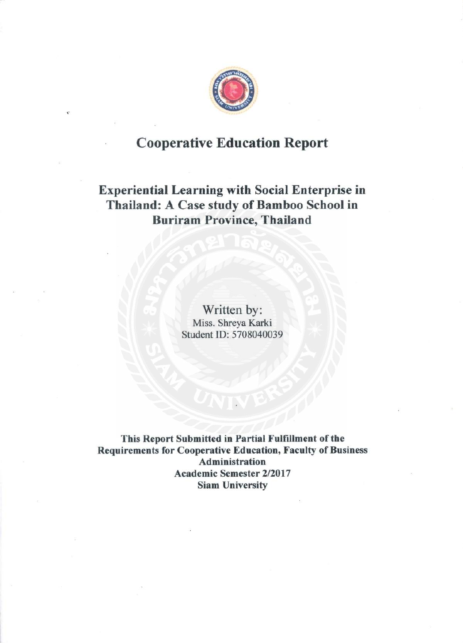

# **Cooperative Education Report**

# **Experiential Learning with Social Enterprise in** Thailand: A Case study of Bamboo School in **Buriram Province, Thailand**

Written by: Miss. Shreya Karki Student ID: 5708040039

This Report Submitted in Partial Fulfillment of the **Requirements for Cooperative Education, Faculty of Business Administration Academic Semester 2/2017 Siam University**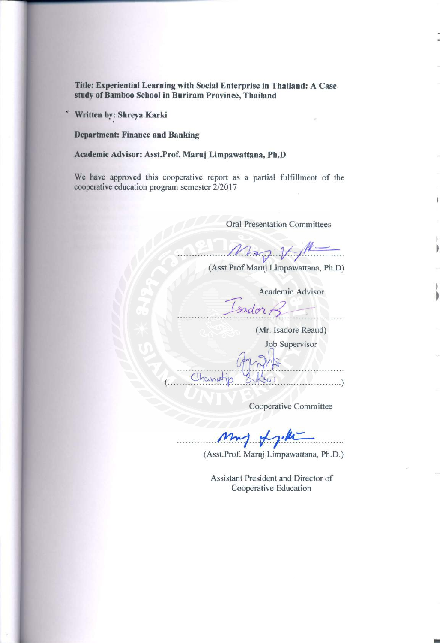Title: Experiential Learning with Social Enterprise in Thailand: A Case study of Bamboo School in Buriram Province, Thailand

Written by: Shreya Karki

×,

**Department: Finance and Banking** 

## Academic Advisor: Asst.Prof. Maruj Limpawattana, Ph.D

We have approved this cooperative report as a partial fulfillment of the cooperative education program semester 2/2017

**Oral Presentation Committees** 

 $M_{\rm{eq}} + M$ 

(Asst.Prof Maruj Limpawattana, Ph.D)

Academic Advisor

 $IsadorB$ 

(Mr. Isadore Reaud)

Job Supervisor

. . . . . . . . . . . . Change . . . . . . . . . . . . )

Cooperative Committee

my fyim

(Asst.Prof. Maruj Limpawattana, Ph.D.)

Assistant President and Director of Cooperative Education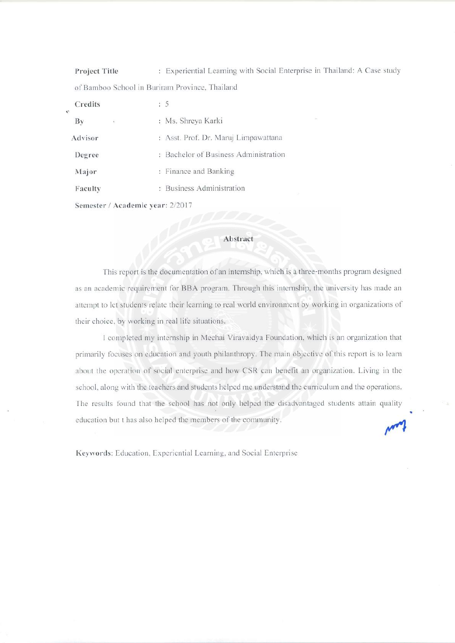: Experiential Learning with Social Enterprise in Thailand: A Case study Project Title of Bamboo School in Buriram Province, Thailand

| Creans                       |                                       |
|------------------------------|---------------------------------------|
| $\mathbf{B}\mathbf{v}$<br>£. | : Ms. Shreya Karki                    |
| Advisor                      | : Asst. Prof. Dr. Maruj Limpawattana  |
| Degree                       | : Bachelor of Business Administration |
| Major                        | : Finance and Banking                 |
| Faculty                      | : Business Administration             |
|                              | Semester / Academic year: 2/2017      |

 $\sim$ 

 $\sim$ 

#### Abstract

This report is the documentation of an internship, which is a three-months program designed as an academic requirement for BBA program. Through this internship, the university has made an attempt to let students relate their learning to real world environment by working in organizations of their choice, by working in real life situations.

I completed my internship in Mechai Viravaidya Foundation, which is an organization that primarily focuses on education and youth philanthropy. The main objective of this report is to learn about the operation of social enterprise and how CSR can benefit an organization. Living in the school, along with the teachers and students helped me understand the curriculum and the operations. The results found that the school has not only helped the disadvantaged students attain quality education but t has also helped the members of the community.

Keywords: Education, Experiential Learning, and Social Enterprise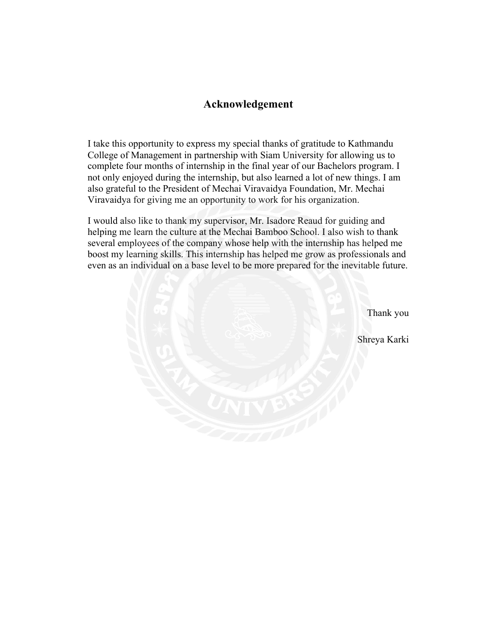# **Acknowledgement**

I take this opportunity to express my special thanks of gratitude to Kathmandu College of Management in partnership with Siam University for allowing us to complete four months of internship in the final year of our Bachelors program. I not only enjoyed during the internship, but also learned a lot of new things. I am also grateful to the President of Mechai Viravaidya Foundation, Mr. Mechai Viravaidya for giving me an opportunity to work for his organization.

I would also like to thank my supervisor, Mr. Isadore Reaud for guiding and helping me learn the culture at the Mechai Bamboo School. I also wish to thank several employees of the company whose help with the internship has helped me boost my learning skills. This internship has helped me grow as professionals and even as an individual on a base level to be more prepared for the inevitable future.

> Thank you Shreya Karki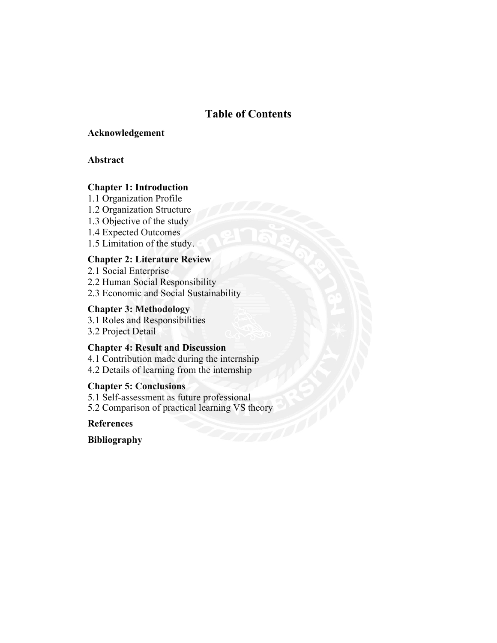# **Table of Contents**

### **Acknowledgement**

## **Abstract**

## **Chapter 1: Introduction**

1.1 Organization Profile

- 1.2 Organization Structure
- 1.3 Objective of the study
- 1.4 Expected Outcomes
- 1.5 Limitation of the study .

# **Chapter 2: Literature Review**

2.1 Social Enterprise 2.2 Human Social Responsibility 2.3 Economic and Social Sustainability

## **Chapter 3: Methodology**

3.1 Roles and Responsibilities 3.2 Project Detail

### **Chapter 4: Result and Discussion**

4.1 Contribution made during the internship 4.2 Details of learning from the internship

# **Chapter 5: Conclusions**

5.1 Self-assessment as future professional 5.2 Comparison of practical learning VS theory

**References**

**Bibliography**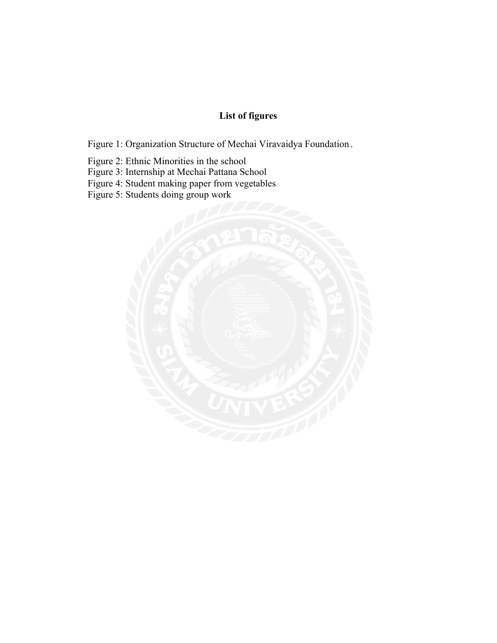# **List of figures**

Figure 1: Organization Structure of Mechai Viravaidya Foundation .

Figure 2: Ethnic Minorities in the school

- Figure 3: Internship at Mechai Pattana School
- Figure 4: Student making paper from vegetables

Figure 5: Students doing group work

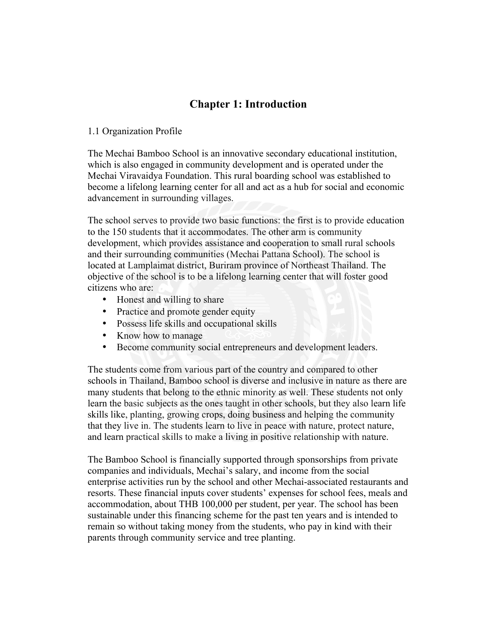# **Chapter 1: Introduction**

### 1.1 Organization Profile

The Mechai Bamboo School is an innovative secondary educational institution, which is also engaged in community development and is operated under the Mechai Viravaidya Foundation. This rural boarding school was established to become a lifelong learning center for all and act as a hub for social and economic advancement in surrounding villages.

The school serves to provide two basic functions: the first is to provide education to the 150 students that it accommodates. The other arm is community development, which provides assistance and cooperation to small rural schools and their surrounding communities (Mechai Pattana School). The school is located at Lamplaimat district, Buriram province of Northeast Thailand. The objective of the school is to be a lifelong learning center that will foster good citizens who are:

- Honest and willing to share
- Practice and promote gender equity
- Possess life skills and occupational skills
- Know how to manage
- Become community social entrepreneurs and development leaders.

The students come from various part of the country and compared to other schools in Thailand, Bamboo school is diverse and inclusive in nature as there are many students that belong to the ethnic minority as well. These students not only learn the basic subjects as the ones taught in other schools, but they also learn life skills like, planting, growing crops, doing business and helping the community that they live in. The students learn to live in peace with nature, protect nature, and learn practical skills to make a living in positive relationship with nature.

The Bamboo School is financially supported through sponsorships from private companies and individuals, Mechai's salary, and income from the social enterprise activities run by the school and other Mechai-associated restaurants and resorts. These financial inputs cover students' expenses for school fees, meals and accommodation, about THB 100,000 per student, per year. The school has been sustainable under this financing scheme for the past ten years and is intended to remain so without taking money from the students, who pay in kind with their parents through community service and tree planting.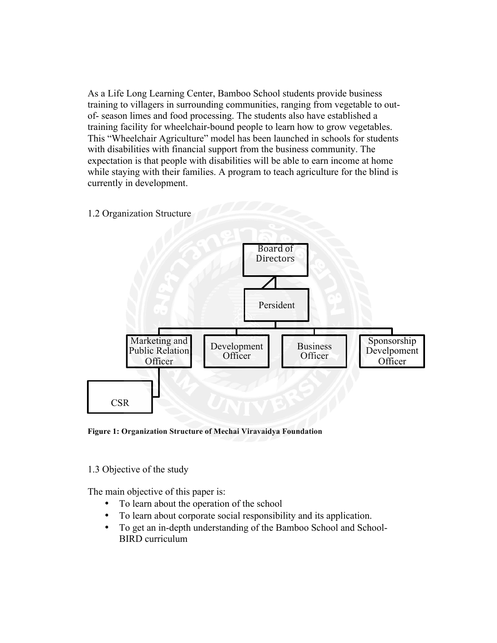As a Life Long Learning Center, Bamboo School students provide business training to villagers in surrounding communities, ranging from vegetable to outof- season limes and food processing. The students also have established a training facility for wheelchair-bound people to learn how to grow vegetables. This "Wheelchair Agriculture" model has been launched in schools for students with disabilities with financial support from the business community. The expectation is that people with disabilities will be able to earn income at home while staying with their families. A program to teach agriculture for the blind is currently in development.



**Figure 1: Organization Structure of Mechai Viravaidya Foundation**

1.3 Objective of the study

The main objective of this paper is:

- To learn about the operation of the school
- To learn about corporate social responsibility and its application.
- To get an in-depth understanding of the Bamboo School and School-BIRD curriculum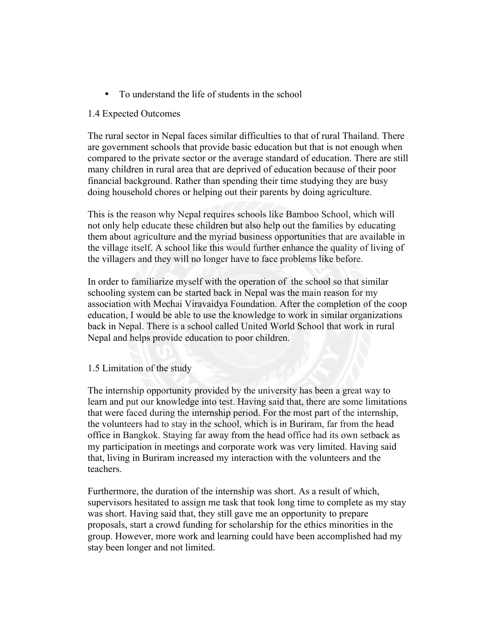• To understand the life of students in the school

### 1.4 Expected Outcomes

The rural sector in Nepal faces similar difficulties to that of rural Thailand. There are government schools that provide basic education but that is not enough when compared to the private sector or the average standard of education. There are still many children in rural area that are deprived of education because of their poor financial background. Rather than spending their time studying they are busy doing household chores or helping out their parents by doing agriculture.

This is the reason why Nepal requires schools like Bamboo School, which will not only help educate these children but also help out the families by educating them about agriculture and the myriad business opportunities that are available in the village itself. A school like this would further enhance the quality of living of the villagers and they will no longer have to face problems like before.

In order to familiarize myself with the operation of the school so that similar schooling system can be started back in Nepal was the main reason for my association with Mechai Viravaidya Foundation. After the completion of the coop education, I would be able to use the knowledge to work in similar organizations back in Nepal. There is a school called United World School that work in rural Nepal and helps provide education to poor children.

### 1.5 Limitation of the study

The internship opportunity provided by the university has been a great way to learn and put our knowledge into test. Having said that, there are some limitations that were faced during the internship period. For the most part of the internship, the volunteers had to stay in the school, which is in Buriram, far from the head office in Bangkok. Staying far away from the head office had its own setback as my participation in meetings and corporate work was very limited. Having said that, living in Buriram increased my interaction with the volunteers and the teachers.

Furthermore, the duration of the internship was short. As a result of which, supervisors hesitated to assign me task that took long time to complete as my stay was short. Having said that, they still gave me an opportunity to prepare proposals, start a crowd funding for scholarship for the ethics minorities in the group. However, more work and learning could have been accomplished had my stay been longer and not limited.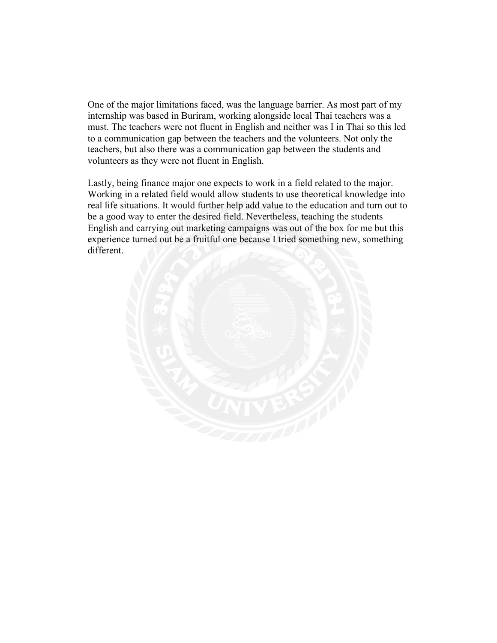One of the major limitations faced, was the language barrier. As most part of my internship was based in Buriram, working alongside local Thai teachers was a must. The teachers were not fluent in English and neither was I in Thai so this led to a communication gap between the teachers and the volunteers. Not only the teachers, but also there was a communication gap between the students and volunteers as they were not fluent in English.

Lastly, being finance major one expects to work in a field related to the major. Working in a related field would allow students to use theoretical knowledge into real life situations. It would further help add value to the education and turn out to be a good way to enter the desired field. Nevertheless, teaching the students English and carrying out marketing campaigns was out of the box for me but this experience turned out be a fruitful one because I tried something new, something different.

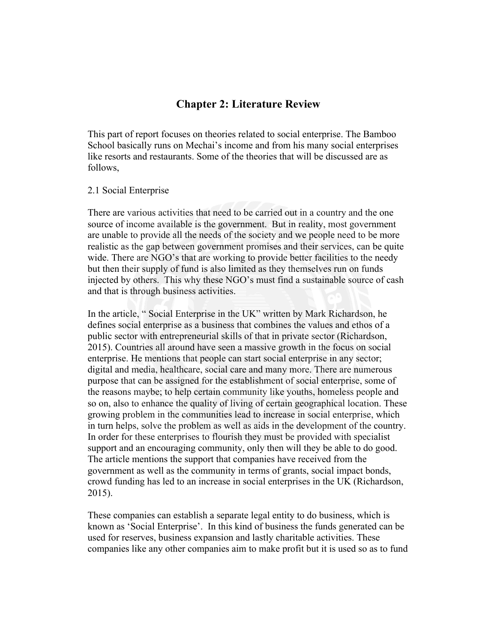# **Chapter 2: Literature Review**

This part of report focuses on theories related to social enterprise. The Bamboo School basically runs on Mechai's income and from his many social enterprises like resorts and restaurants. Some of the theories that will be discussed are as follows,

#### 2.1 Social Enterprise

There are various activities that need to be carried out in a country and the one source of income available is the government. But in reality, most government are unable to provide all the needs of the society and we people need to be more realistic as the gap between government promises and their services, can be quite wide. There are NGO's that are working to provide better facilities to the needy but then their supply of fund is also limited as they themselves run on funds injected by others. This why these NGO's must find a sustainable source of cash and that is through business activities.

In the article, " Social Enterprise in the UK" written by Mark Richardson, he defines social enterprise as a business that combines the values and ethos of a public sector with entrepreneurial skills of that in private sector (Richardson, 2015). Countries all around have seen a massive growth in the focus on social enterprise. He mentions that people can start social enterprise in any sector; digital and media, healthcare, social care and many more. There are numerous purpose that can be assigned for the establishment of social enterprise, some of the reasons maybe; to help certain community like youths, homeless people and so on, also to enhance the quality of living of certain geographical location. These growing problem in the communities lead to increase in social enterprise, which in turn helps, solve the problem as well as aids in the development of the country. In order for these enterprises to flourish they must be provided with specialist support and an encouraging community, only then will they be able to do good. The article mentions the support that companies have received from the government as well as the community in terms of grants, social impact bonds, crowd funding has led to an increase in social enterprises in the UK (Richardson, 2015).

These companies can establish a separate legal entity to do business, which is known as 'Social Enterprise'. In this kind of business the funds generated can be used for reserves, business expansion and lastly charitable activities. These companies like any other companies aim to make profit but it is used so as to fund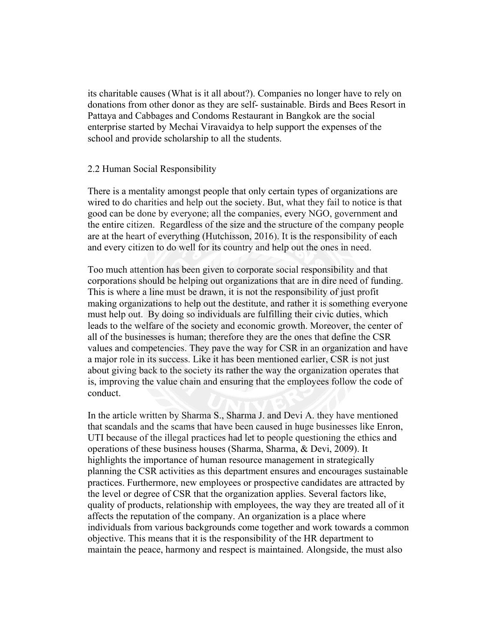its charitable causes (What is it all about?). Companies no longer have to rely on donations from other donor as they are self- sustainable. Birds and Bees Resort in Pattaya and Cabbages and Condoms Restaurant in Bangkok are the social enterprise started by Mechai Viravaidya to help support the expenses of the school and provide scholarship to all the students.

#### 2.2 Human Social Responsibility

There is a mentality amongst people that only certain types of organizations are wired to do charities and help out the society. But, what they fail to notice is that good can be done by everyone; all the companies, every NGO, government and the entire citizen. Regardless of the size and the structure of the company people are at the heart of everything (Hutchisson, 2016). It is the responsibility of each and every citizen to do well for its country and help out the ones in need.

Too much attention has been given to corporate social responsibility and that corporations should be helping out organizations that are in dire need of funding. This is where a line must be drawn, it is not the responsibility of just profit making organizations to help out the destitute, and rather it is something everyone must help out. By doing so individuals are fulfilling their civic duties, which leads to the welfare of the society and economic growth. Moreover, the center of all of the businesses is human; therefore they are the ones that define the CSR values and competencies. They pave the way for CSR in an organization and have a major role in its success. Like it has been mentioned earlier, CSR is not just about giving back to the society its rather the way the organization operates that is, improving the value chain and ensuring that the employees follow the code of conduct.

In the article written by Sharma S., Sharma J. and Devi A. they have mentioned that scandals and the scams that have been caused in huge businesses like Enron, UTI because of the illegal practices had let to people questioning the ethics and operations of these business houses (Sharma, Sharma, & Devi, 2009). It highlights the importance of human resource management in strategically planning the CSR activities as this department ensures and encourages sustainable practices. Furthermore, new employees or prospective candidates are attracted by the level or degree of CSR that the organization applies. Several factors like, quality of products, relationship with employees, the way they are treated all of it affects the reputation of the company. An organization is a place where individuals from various backgrounds come together and work towards a common objective. This means that it is the responsibility of the HR department to maintain the peace, harmony and respect is maintained. Alongside, the must also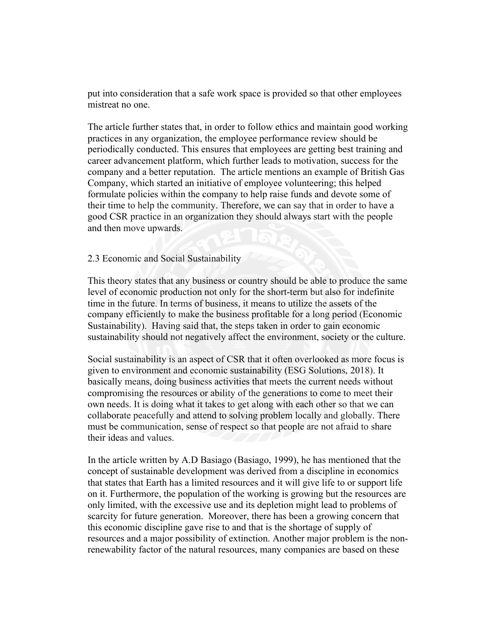put into consideration that a safe work space is provided so that other employees mistreat no one.

The article further states that, in order to follow ethics and maintain good working practices in any organization, the employee performance review should be periodically conducted. This ensures that employees are getting best training and career advancement platform, which further leads to motivation, success for the company and a better reputation. The article mentions an example of British Gas Company, which started an initiative of employee volunteering; this helped formulate policies within the company to help raise funds and devote some of their time to help the community. Therefore, we can say that in order to have a good CSR practice in an organization they should always start with the people and then move upwards.

#### 2.3 Economic and Social Sustainability

This theory states that any business or country should be able to produce the same level of economic production not only for the short-term but also for indefinite time in the future. In terms of business, it means to utilize the assets of the company efficiently to make the business profitable for a long period (Economic Sustainability). Having said that, the steps taken in order to gain economic sustainability should not negatively affect the environment, society or the culture.

Social sustainability is an aspect of CSR that it often overlooked as more focus is given to environment and economic sustainability (ESG Solutions, 2018). It basically means, doing business activities that meets the current needs without compromising the resources or ability of the generations to come to meet their own needs. It is doing what it takes to get along with each other so that we can collaborate peacefully and attend to solving problem locally and globally. There must be communication, sense of respect so that people are not afraid to share their ideas and values.

In the article written by A.D Basiago (Basiago, 1999), he has mentioned that the concept of sustainable development was derived from a discipline in economics that states that Earth has a limited resources and it will give life to or support life on it. Furthermore, the population of the working is growing but the resources are only limited, with the excessive use and its depletion might lead to problems of scarcity for future generation. Moreover, there has been a growing concern that this economic discipline gave rise to and that is the shortage of supply of resources and a major possibility of extinction. Another major problem is the nonrenewability factor of the natural resources, many companies are based on these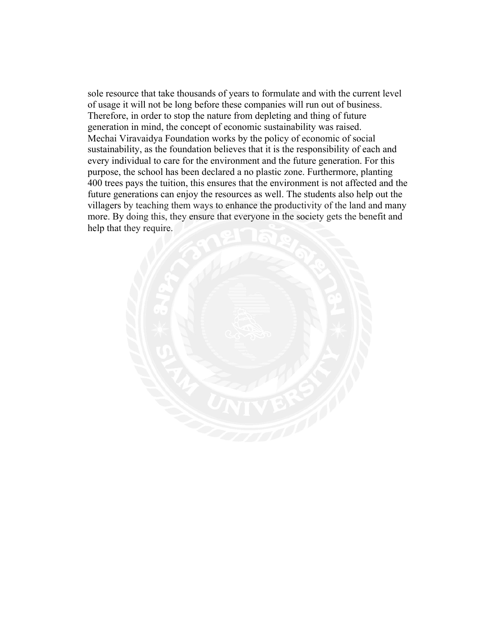sole resource that take thousands of years to formulate and with the current level of usage it will not be long before these companies will run out of business. Therefore, in order to stop the nature from depleting and thing of future generation in mind, the concept of economic sustainability was raised. Mechai Viravaidya Foundation works by the policy of economic of social sustainability, as the foundation believes that it is the responsibility of each and every individual to care for the environment and the future generation. For this purpose, the school has been declared a no plastic zone. Furthermore, planting 400 trees pays the tuition, this ensures that the environment is not affected and the future generations can enjoy the resources as well. The students also help out the villagers by teaching them ways to enhance the productivity of the land and many more. By doing this, they ensure that everyone in the society gets the benefit and help that they require.

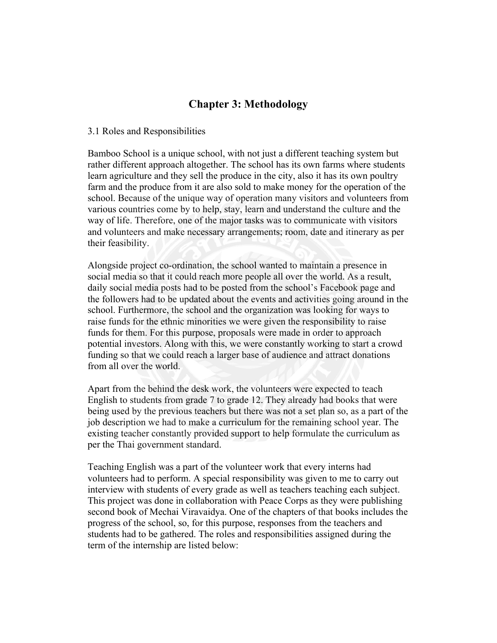# **Chapter 3: Methodology**

#### 3.1 Roles and Responsibilities

Bamboo School is a unique school, with not just a different teaching system but rather different approach altogether. The school has its own farms where students learn agriculture and they sell the produce in the city, also it has its own poultry farm and the produce from it are also sold to make money for the operation of the school. Because of the unique way of operation many visitors and volunteers from various countries come by to help, stay, learn and understand the culture and the way of life. Therefore, one of the major tasks was to communicate with visitors and volunteers and make necessary arrangements; room, date and itinerary as per their feasibility.

Alongside project co-ordination, the school wanted to maintain a presence in social media so that it could reach more people all over the world. As a result, daily social media posts had to be posted from the school's Facebook page and the followers had to be updated about the events and activities going around in the school. Furthermore, the school and the organization was looking for ways to raise funds for the ethnic minorities we were given the responsibility to raise funds for them. For this purpose, proposals were made in order to approach potential investors. Along with this, we were constantly working to start a crowd funding so that we could reach a larger base of audience and attract donations from all over the world.

Apart from the behind the desk work, the volunteers were expected to teach English to students from grade 7 to grade 12. They already had books that were being used by the previous teachers but there was not a set plan so, as a part of the job description we had to make a curriculum for the remaining school year. The existing teacher constantly provided support to help formulate the curriculum as per the Thai government standard.

Teaching English was a part of the volunteer work that every interns had volunteers had to perform. A special responsibility was given to me to carry out interview with students of every grade as well as teachers teaching each subject. This project was done in collaboration with Peace Corps as they were publishing second book of Mechai Viravaidya. One of the chapters of that books includes the progress of the school, so, for this purpose, responses from the teachers and students had to be gathered. The roles and responsibilities assigned during the term of the internship are listed below: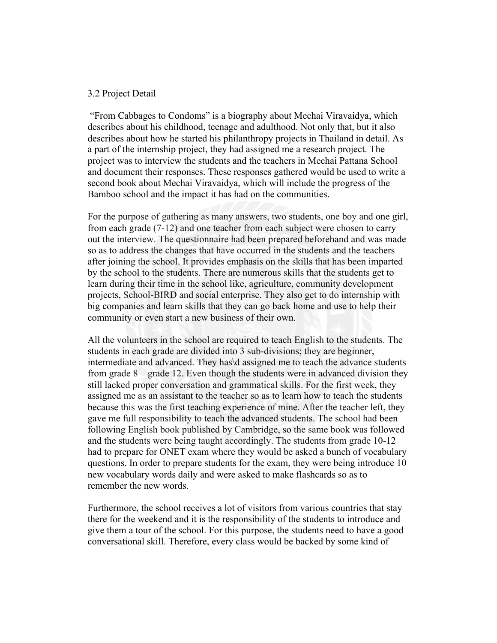#### 3.2 Project Detail

"From Cabbages to Condoms" is a biography about Mechai Viravaidya, which describes about his childhood, teenage and adulthood. Not only that, but it also describes about how he started his philanthropy projects in Thailand in detail. As a part of the internship project, they had assigned me a research project. The project was to interview the students and the teachers in Mechai Pattana School and document their responses. These responses gathered would be used to write a second book about Mechai Viravaidya, which will include the progress of the Bamboo school and the impact it has had on the communities.

For the purpose of gathering as many answers, two students, one boy and one girl, from each grade (7-12) and one teacher from each subject were chosen to carry out the interview. The questionnaire had been prepared beforehand and was made so as to address the changes that have occurred in the students and the teachers after joining the school. It provides emphasis on the skills that has been imparted by the school to the students. There are numerous skills that the students get to learn during their time in the school like, agriculture, community development projects, School-BIRD and social enterprise. They also get to do internship with big companies and learn skills that they can go back home and use to help their community or even start a new business of their own.

All the volunteers in the school are required to teach English to the students. The students in each grade are divided into 3 sub-divisions; they are beginner, intermediate and advanced. They has\d assigned me to teach the advance students from grade 8 – grade 12. Even though the students were in advanced division they still lacked proper conversation and grammatical skills. For the first week, they assigned me as an assistant to the teacher so as to learn how to teach the students because this was the first teaching experience of mine. After the teacher left, they gave me full responsibility to teach the advanced students. The school had been following English book published by Cambridge, so the same book was followed and the students were being taught accordingly. The students from grade 10-12 had to prepare for ONET exam where they would be asked a bunch of vocabulary questions. In order to prepare students for the exam, they were being introduce 10 new vocabulary words daily and were asked to make flashcards so as to remember the new words.

Furthermore, the school receives a lot of visitors from various countries that stay there for the weekend and it is the responsibility of the students to introduce and give them a tour of the school. For this purpose, the students need to have a good conversational skill. Therefore, every class would be backed by some kind of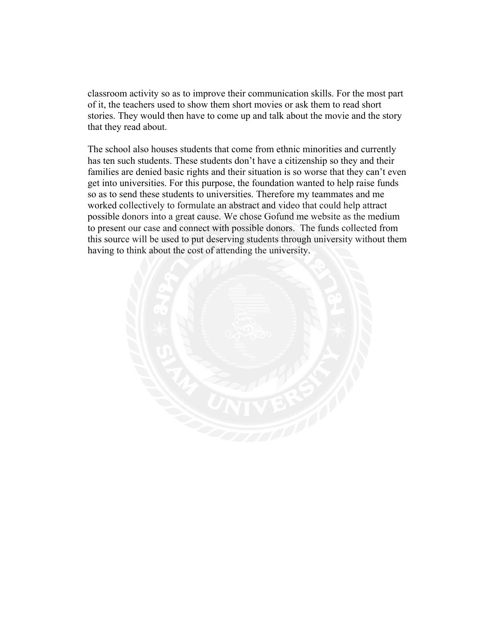classroom activity so as to improve their communication skills. For the most part of it, the teachers used to show them short movies or ask them to read short stories. They would then have to come up and talk about the movie and the story that they read about.

The school also houses students that come from ethnic minorities and currently has ten such students. These students don't have a citizenship so they and their families are denied basic rights and their situation is so worse that they can't even get into universities. For this purpose, the foundation wanted to help raise funds so as to send these students to universities. Therefore my teammates and me worked collectively to formulate an abstract and video that could help attract possible donors into a great cause. We chose Gofund me website as the medium to present our case and connect with possible donors. The funds collected from this source will be used to put deserving students through university without them having to think about the cost of attending the university.

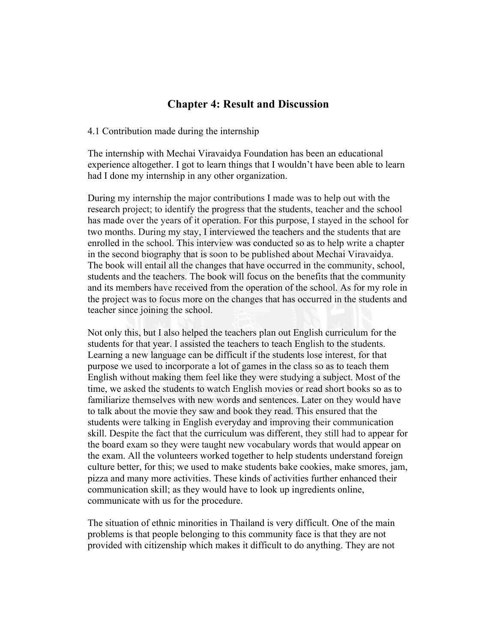# **Chapter 4: Result and Discussion**

#### 4.1 Contribution made during the internship

The internship with Mechai Viravaidya Foundation has been an educational experience altogether. I got to learn things that I wouldn't have been able to learn had I done my internship in any other organization.

During my internship the major contributions I made was to help out with the research project; to identify the progress that the students, teacher and the school has made over the years of it operation. For this purpose, I stayed in the school for two months. During my stay, I interviewed the teachers and the students that are enrolled in the school. This interview was conducted so as to help write a chapter in the second biography that is soon to be published about Mechai Viravaidya. The book will entail all the changes that have occurred in the community, school, students and the teachers. The book will focus on the benefits that the community and its members have received from the operation of the school. As for my role in the project was to focus more on the changes that has occurred in the students and teacher since joining the school.

Not only this, but I also helped the teachers plan out English curriculum for the students for that year. I assisted the teachers to teach English to the students. Learning a new language can be difficult if the students lose interest, for that purpose we used to incorporate a lot of games in the class so as to teach them English without making them feel like they were studying a subject. Most of the time, we asked the students to watch English movies or read short books so as to familiarize themselves with new words and sentences. Later on they would have to talk about the movie they saw and book they read. This ensured that the students were talking in English everyday and improving their communication skill. Despite the fact that the curriculum was different, they still had to appear for the board exam so they were taught new vocabulary words that would appear on the exam. All the volunteers worked together to help students understand foreign culture better, for this; we used to make students bake cookies, make smores, jam, pizza and many more activities. These kinds of activities further enhanced their communication skill; as they would have to look up ingredients online, communicate with us for the procedure.

The situation of ethnic minorities in Thailand is very difficult. One of the main problems is that people belonging to this community face is that they are not provided with citizenship which makes it difficult to do anything. They are not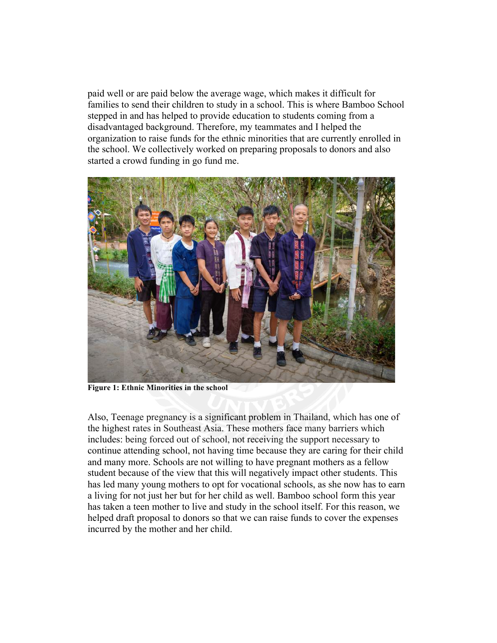paid well or are paid below the average wage, which makes it difficult for families to send their children to study in a school. This is where Bamboo School stepped in and has helped to provide education to students coming from a disadvantaged background. Therefore, my teammates and I helped the organization to raise funds for the ethnic minorities that are currently enrolled in the school. We collectively worked on preparing proposals to donors and also started a crowd funding in go fund me.



**Figure 1: Ethnic Minorities in the school**

Also, Teenage pregnancy is a significant problem in Thailand, which has one of the highest rates in Southeast Asia. These mothers face many barriers which includes: being forced out of school, not receiving the support necessary to continue attending school, not having time because they are caring for their child and many more. Schools are not willing to have pregnant mothers as a fellow student because of the view that this will negatively impact other students. This has led many young mothers to opt for vocational schools, as she now has to earn a living for not just her but for her child as well. Bamboo school form this year has taken a teen mother to live and study in the school itself. For this reason, we helped draft proposal to donors so that we can raise funds to cover the expenses incurred by the mother and her child.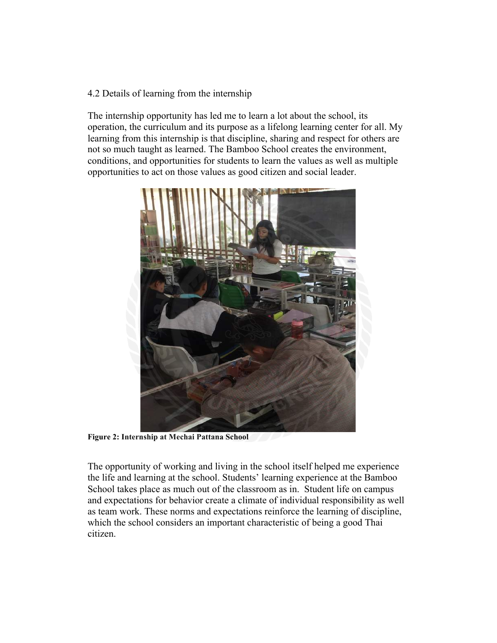## 4.2 Details of learning from the internship

The internship opportunity has led me to learn a lot about the school, its operation, the curriculum and its purpose as a lifelong learning center for all. My learning from this internship is that discipline, sharing and respect for others are not so much taught as learned. The Bamboo School creates the environment, conditions, and opportunities for students to learn the values as well as multiple opportunities to act on those values as good citizen and social leader.



**Figure 2: Internship at Mechai Pattana School**

The opportunity of working and living in the school itself helped me experience the life and learning at the school. Students' learning experience at the Bamboo School takes place as much out of the classroom as in. Student life on campus and expectations for behavior create a climate of individual responsibility as well as team work. These norms and expectations reinforce the learning of discipline, which the school considers an important characteristic of being a good Thai citizen.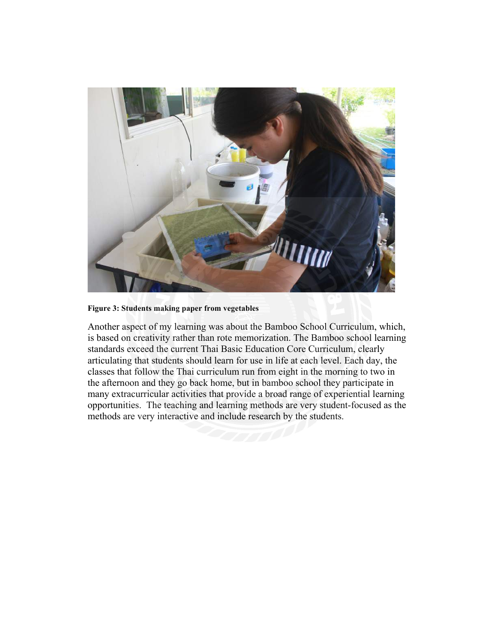

**Figure 3: Students making paper from vegetables**

Another aspect of my learning was about the Bamboo School Curriculum, which, is based on creativity rather than rote memorization. The Bamboo school learning standards exceed the current Thai Basic Education Core Curriculum, clearly articulating that students should learn for use in life at each level. Each day, the classes that follow the Thai curriculum run from eight in the morning to two in the afternoon and they go back home, but in bamboo school they participate in many extracurricular activities that provide a broad range of experiential learning opportunities. The teaching and learning methods are very student-focused as the methods are very interactive and include research by the students.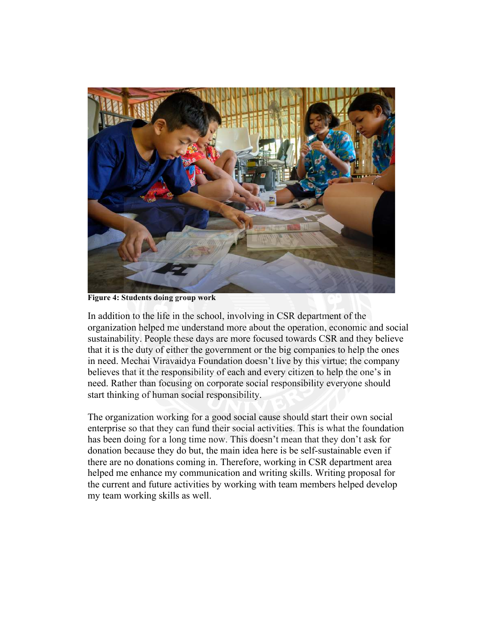

**Figure 4: Students doing group work**

In addition to the life in the school, involving in CSR department of the organization helped me understand more about the operation, economic and social sustainability. People these days are more focused towards CSR and they believe that it is the duty of either the government or the big companies to help the ones in need. Mechai Viravaidya Foundation doesn't live by this virtue; the company believes that it the responsibility of each and every citizen to help the one's in need. Rather than focusing on corporate social responsibility everyone should start thinking of human social responsibility.

The organization working for a good social cause should start their own social enterprise so that they can fund their social activities. This is what the foundation has been doing for a long time now. This doesn't mean that they don't ask for donation because they do but, the main idea here is be self-sustainable even if there are no donations coming in. Therefore, working in CSR department area helped me enhance my communication and writing skills. Writing proposal for the current and future activities by working with team members helped develop my team working skills as well.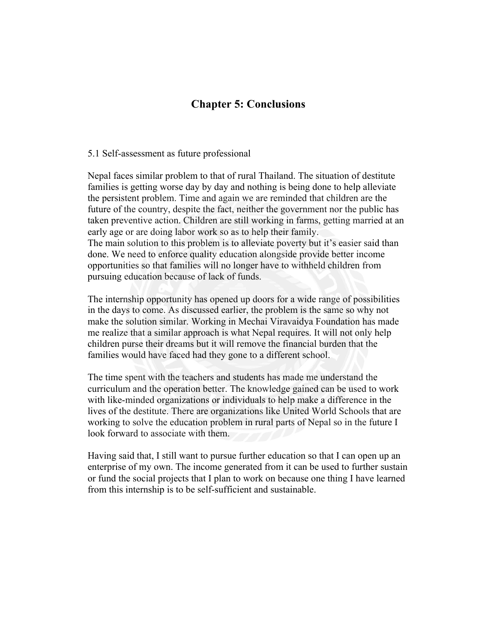# **Chapter 5: Conclusions**

#### 5.1 Self-assessment as future professional

Nepal faces similar problem to that of rural Thailand. The situation of destitute families is getting worse day by day and nothing is being done to help alleviate the persistent problem. Time and again we are reminded that children are the future of the country, despite the fact, neither the government nor the public has taken preventive action. Children are still working in farms, getting married at an early age or are doing labor work so as to help their family. The main solution to this problem is to alleviate poverty but it's easier said than done. We need to enforce quality education alongside provide better income opportunities so that families will no longer have to withheld children from pursuing education because of lack of funds.

The internship opportunity has opened up doors for a wide range of possibilities in the days to come. As discussed earlier, the problem is the same so why not make the solution similar. Working in Mechai Viravaidya Foundation has made me realize that a similar approach is what Nepal requires. It will not only help children purse their dreams but it will remove the financial burden that the families would have faced had they gone to a different school.

The time spent with the teachers and students has made me understand the curriculum and the operation better. The knowledge gained can be used to work with like-minded organizations or individuals to help make a difference in the lives of the destitute. There are organizations like United World Schools that are working to solve the education problem in rural parts of Nepal so in the future I look forward to associate with them.

Having said that, I still want to pursue further education so that I can open up an enterprise of my own. The income generated from it can be used to further sustain or fund the social projects that I plan to work on because one thing I have learned from this internship is to be self-sufficient and sustainable.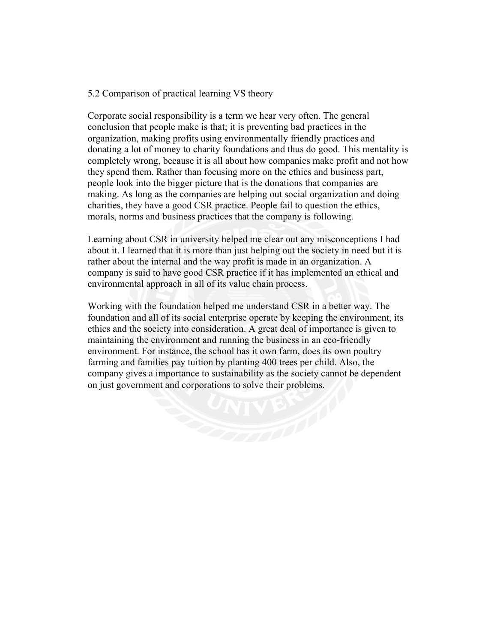### 5.2 Comparison of practical learning VS theory

Corporate social responsibility is a term we hear very often. The general conclusion that people make is that; it is preventing bad practices in the organization, making profits using environmentally friendly practices and donating a lot of money to charity foundations and thus do good. This mentality is completely wrong, because it is all about how companies make profit and not how they spend them. Rather than focusing more on the ethics and business part, people look into the bigger picture that is the donations that companies are making. As long as the companies are helping out social organization and doing charities, they have a good CSR practice. People fail to question the ethics, morals, norms and business practices that the company is following.

Learning about CSR in university helped me clear out any misconceptions I had about it. I learned that it is more than just helping out the society in need but it is rather about the internal and the way profit is made in an organization. A company is said to have good CSR practice if it has implemented an ethical and environmental approach in all of its value chain process.

Working with the foundation helped me understand CSR in a better way. The foundation and all of its social enterprise operate by keeping the environment, its ethics and the society into consideration. A great deal of importance is given to maintaining the environment and running the business in an eco-friendly environment. For instance, the school has it own farm, does its own poultry farming and families pay tuition by planting 400 trees per child. Also, the company gives a importance to sustainability as the society cannot be dependent on just government and corporations to solve their problems.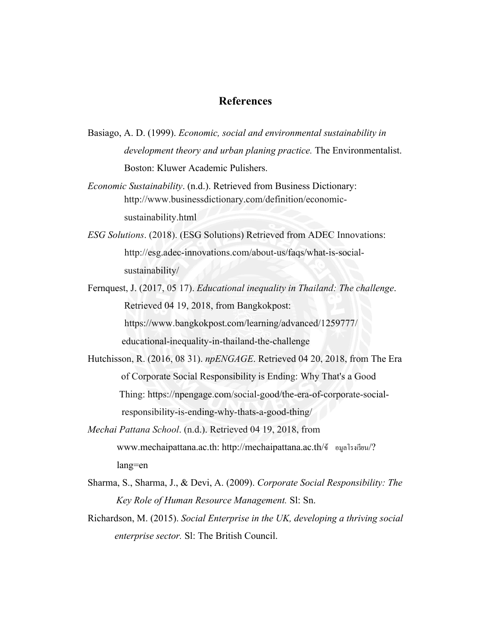# **References**

- Basiago, A. D. (1999). *Economic, social and environmental sustainability in development theory and urban planing practice.* The Environmentalist. Boston: Kluwer Academic Pulishers.
- *Economic Sustainability*. (n.d.). Retrieved from Business Dictionary: http://www.businessdictionary.com/definition/economic sustainability.html
- *ESG Solutions*. (2018). (ESG Solutions) Retrieved from ADEC Innovations: http://esg.adec-innovations.com/about-us/faqs/what-is-social sustainability/
- Fernquest, J. (2017, 05 17). *Educational inequality in Thailand: The challenge*. Retrieved 04 19, 2018, from Bangkokpost: https://www.bangkokpost.com/learning/advanced/1259777/ educational-inequality-in-thailand-the-challenge
- Hutchisson, R. (2016, 08 31). *npENGAGE*. Retrieved 04 20, 2018, from The Era of Corporate Social Responsibility is Ending: Why That's a Good Thing: https://npengage.com/social-good/the-era-of-corporate-social responsibility-is-ending-why-thats-a-good-thing/
- *Mechai Pattana School*. (n.d.). Retrieved 04 19, 2018, from www.mechaipattana.ac.th: http://mechaipattana.ac.th/ข้ อมูลโรงเรียน/? lang=en
- Sharma, S., Sharma, J., & Devi, A. (2009). *Corporate Social Responsibility: The Key Role of Human Resource Management.* Sl: Sn.
- Richardson, M. (2015). *Social Enterprise in the UK, developing a thriving social enterprise sector.* Sl: The British Council.